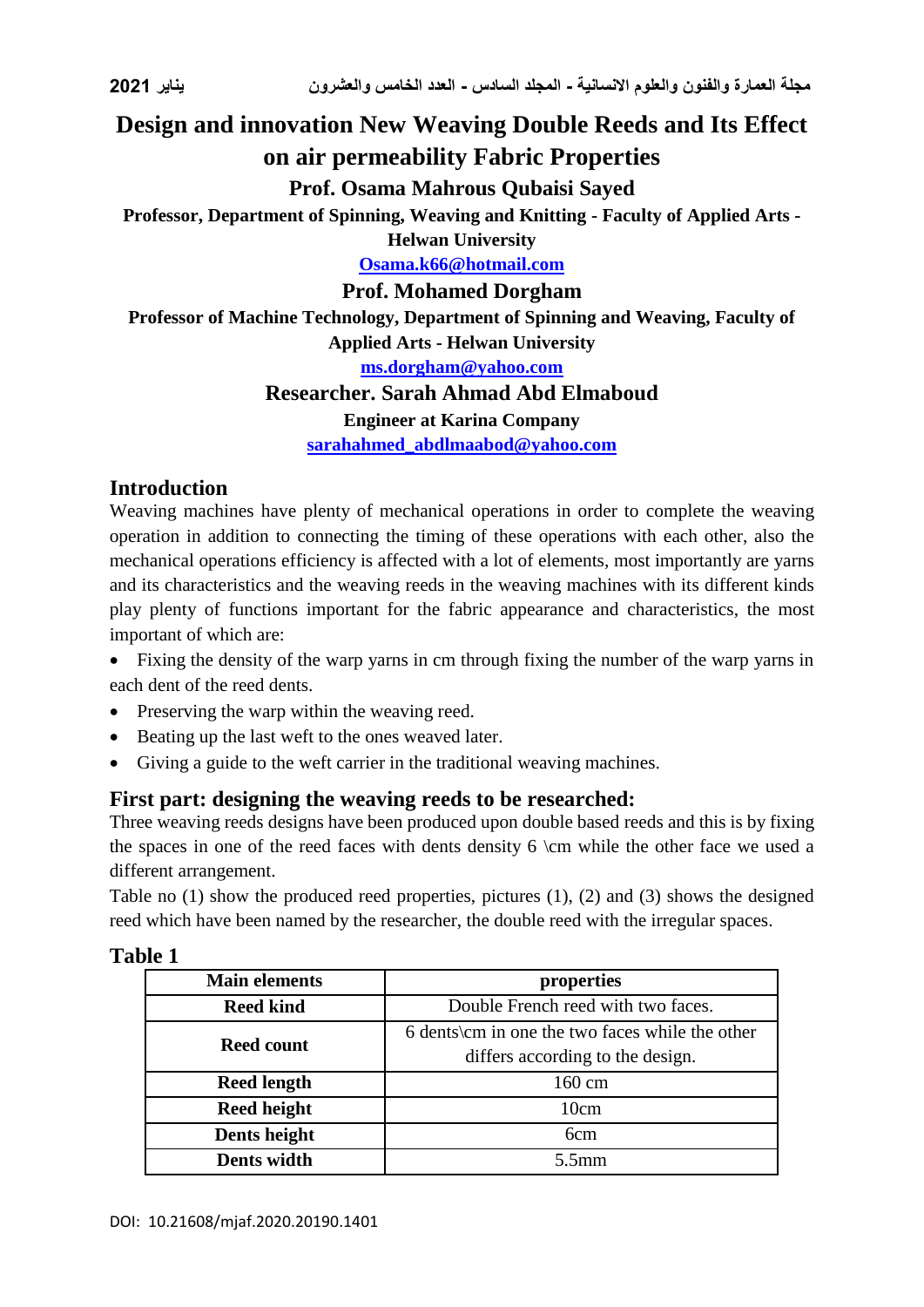# **Design and innovation New Weaving Double Reeds and Its Effect on air permeability Fabric Properties**

# **Prof. Osama Mahrous Qubaisi Sayed**

**Professor, Department of Spinning, Weaving and Knitting - Faculty of Applied Arts -**

**Helwan University**

**[Osama.k66@hotmail.com](mailto:Osama.k66@hotmail.com)**

#### **Prof. Mohamed Dorgham**

**Professor of Machine Technology, Department of Spinning and Weaving, Faculty of Applied Arts - Helwan University**

**[ms.dorgham@yahoo.com](mailto:ms.dorgham@yahoo.com)**

## **Researcher. Sarah Ahmad Abd Elmaboud**

#### **Engineer at Karina Company**

**[sarahahmed\\_abdlmaabod@yahoo.com](mailto:sarahahmed_abdlmaabod@yahoo.com)**

## **Introduction**

Weaving machines have plenty of mechanical operations in order to complete the weaving operation in addition to connecting the timing of these operations with each other, also the mechanical operations efficiency is affected with a lot of elements, most importantly are yarns and its characteristics and the weaving reeds in the weaving machines with its different kinds play plenty of functions important for the fabric appearance and characteristics, the most important of which are:

- Fixing the density of the warp yarns in cm through fixing the number of the warp yarns in each dent of the reed dents.
- Preserving the warp within the weaving reed.
- Beating up the last weft to the ones weaved later.
- Giving a guide to the weft carrier in the traditional weaving machines.

# **First part: designing the weaving reeds to be researched:**

Three weaving reeds designs have been produced upon double based reeds and this is by fixing the spaces in one of the reed faces with dents density  $6 \cm$  while the other face we used a different arrangement.

Table no (1) show the produced reed properties, pictures (1), (2) and (3) shows the designed reed which have been named by the researcher, the double reed with the irregular spaces.

| able |  |
|------|--|
|      |  |

| <b>Main elements</b> | properties                                       |  |
|----------------------|--------------------------------------------------|--|
| <b>Reed kind</b>     | Double French reed with two faces.               |  |
| <b>Reed count</b>    | 6 dents \cm in one the two faces while the other |  |
|                      | differs according to the design.                 |  |
| <b>Reed length</b>   | 160 cm                                           |  |
| <b>Reed height</b>   | 10cm                                             |  |
| Dents height         | 6 <sub>cm</sub>                                  |  |
| Dents width          | $5.5$ mm                                         |  |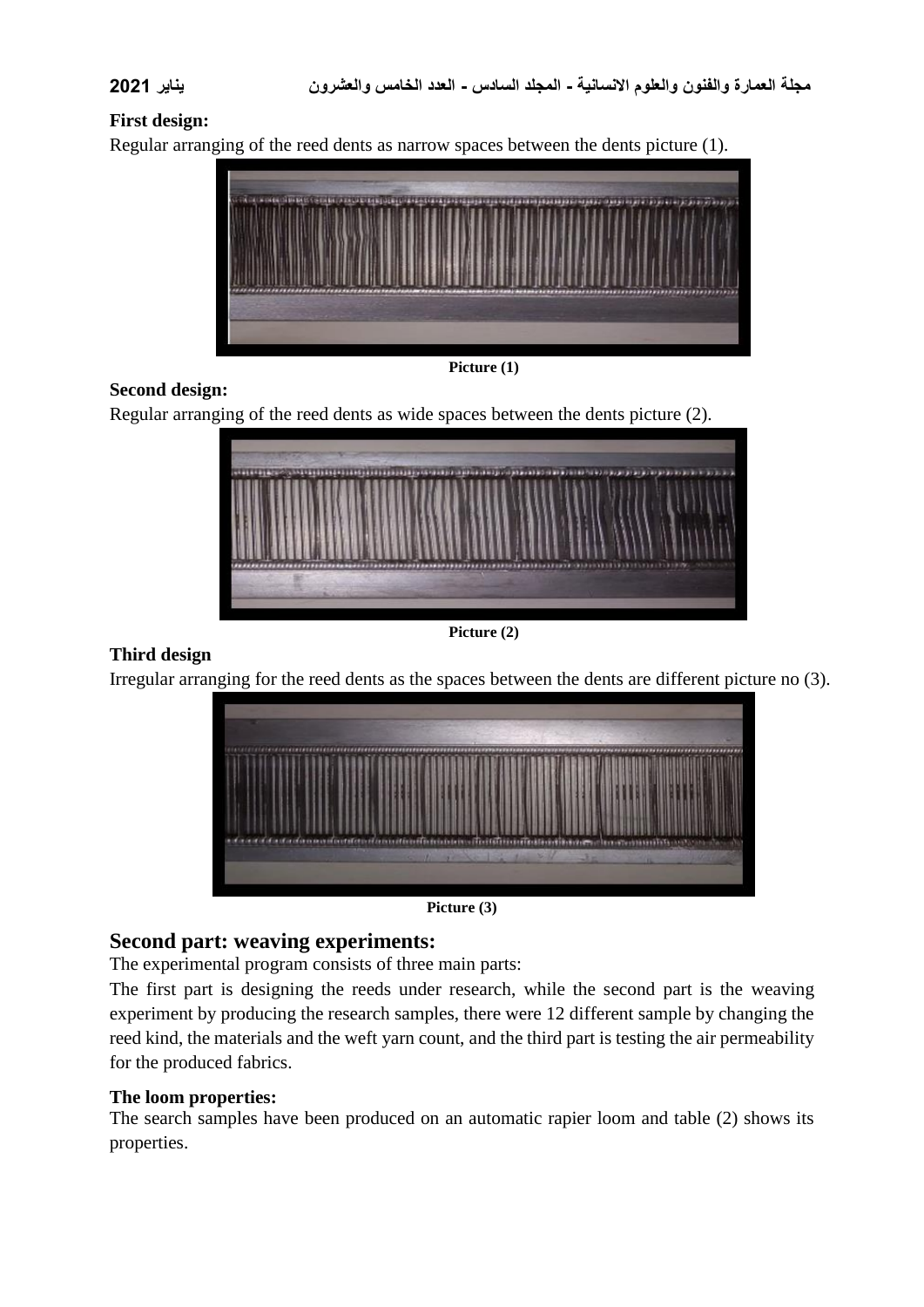#### **First design:**

Regular arranging of the reed dents as narrow spaces between the dents picture (1).



**Picture (1)**

#### **Second design:**

Regular arranging of the reed dents as wide spaces between the dents picture (2).



**Picture (2)**

#### **Third design**

Irregular arranging for the reed dents as the spaces between the dents are different picture no (3).



**Picture (3)**

#### **Second part: weaving experiments:**

The experimental program consists of three main parts:

The first part is designing the reeds under research, while the second part is the weaving experiment by producing the research samples, there were 12 different sample by changing the reed kind, the materials and the weft yarn count, and the third part is testing the air permeability for the produced fabrics.

#### **The loom properties:**

The search samples have been produced on an automatic rapier loom and table (2) shows its properties.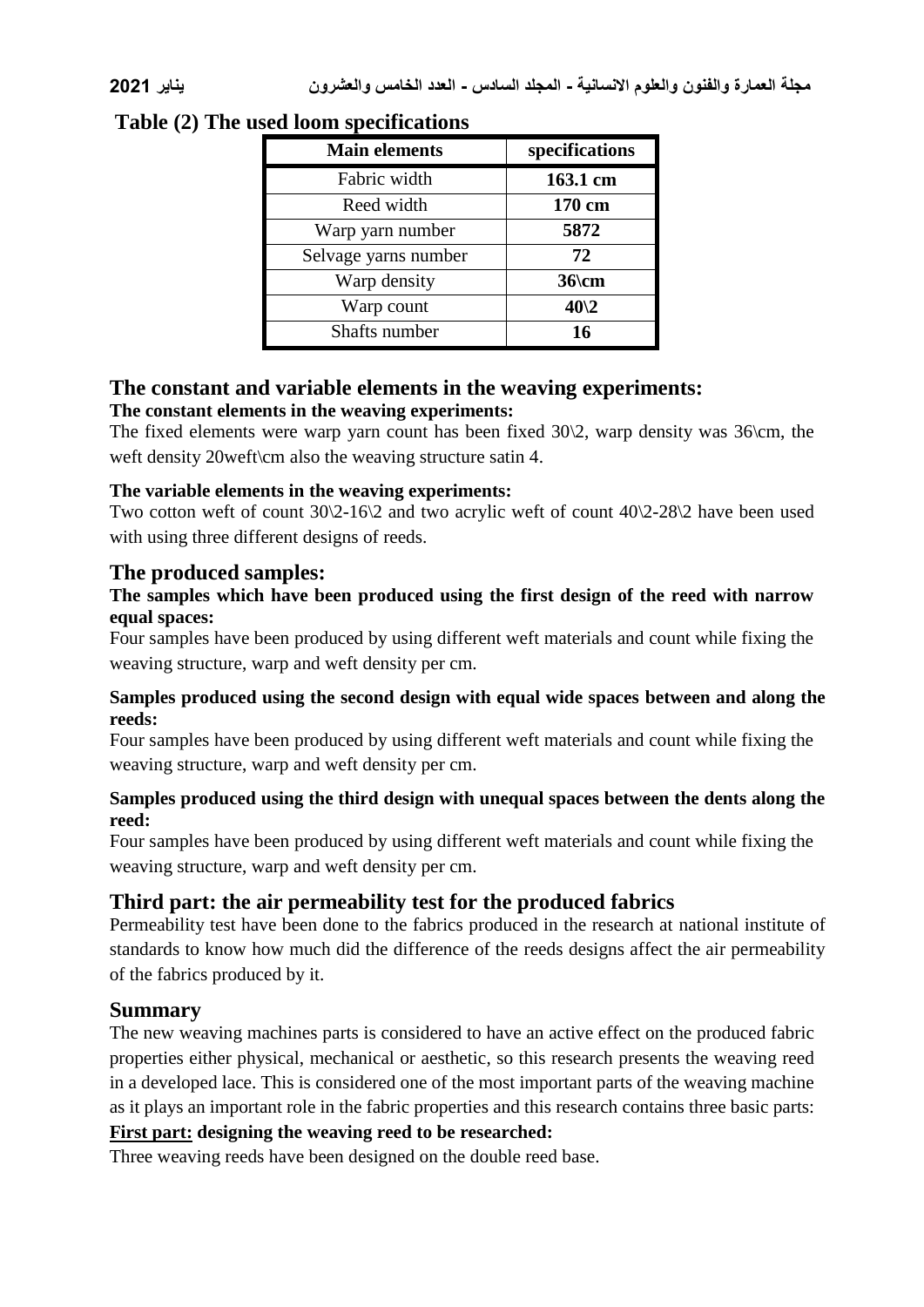| <b>Main elements</b> | specifications |
|----------------------|----------------|
| Fabric width         | 163.1 cm       |
| Reed width           | 170 cm         |
| Warp yarn number     | 5872           |
| Selvage yarns number | 72             |
| Warp density         | $36$ cm        |
| Warp count           | $40\sqrt{2}$   |
| Shafts number        | 16             |

# **Table (2) The used loom specifications**

# **The constant and variable elements in the weaving experiments:**

#### **The constant elements in the weaving experiments:**

The fixed elements were warp yarn count has been fixed 30\2, warp density was 36\cm, the weft density 20 weft $\rm\thinspace$  also the weaving structure satin 4.

#### **The variable elements in the weaving experiments:**

Two cotton weft of count 30\2-16\2 and two acrylic weft of count 40\2-28\2 have been used with using three different designs of reeds.

# **The produced samples:**

### **The samples which have been produced using the first design of the reed with narrow equal spaces:**

Four samples have been produced by using different weft materials and count while fixing the weaving structure, warp and weft density per cm.

#### **Samples produced using the second design with equal wide spaces between and along the reeds:**

Four samples have been produced by using different weft materials and count while fixing the weaving structure, warp and weft density per cm.

#### **Samples produced using the third design with unequal spaces between the dents along the reed:**

Four samples have been produced by using different weft materials and count while fixing the weaving structure, warp and weft density per cm.

# **Third part: the air permeability test for the produced fabrics**

Permeability test have been done to the fabrics produced in the research at national institute of standards to know how much did the difference of the reeds designs affect the air permeability of the fabrics produced by it.

## **Summary**

The new weaving machines parts is considered to have an active effect on the produced fabric properties either physical, mechanical or aesthetic, so this research presents the weaving reed in a developed lace. This is considered one of the most important parts of the weaving machine as it plays an important role in the fabric properties and this research contains three basic parts:

# **First part: designing the weaving reed to be researched:**

Three weaving reeds have been designed on the double reed base.